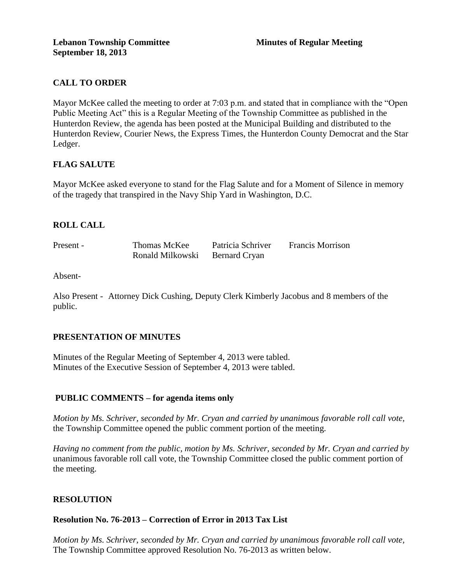# **CALL TO ORDER**

Mayor McKee called the meeting to order at 7:03 p.m. and stated that in compliance with the "Open Public Meeting Act" this is a Regular Meeting of the Township Committee as published in the Hunterdon Review, the agenda has been posted at the Municipal Building and distributed to the Hunterdon Review, Courier News, the Express Times, the Hunterdon County Democrat and the Star Ledger.

# **FLAG SALUTE**

Mayor McKee asked everyone to stand for the Flag Salute and for a Moment of Silence in memory of the tragedy that transpired in the Navy Ship Yard in Washington, D.C.

# **ROLL CALL**

| Present - | Thomas McKee     | Patricia Schriver | <b>Francis Morrison</b> |
|-----------|------------------|-------------------|-------------------------|
|           | Ronald Milkowski | Bernard Cryan     |                         |

Absent-

Also Present - Attorney Dick Cushing, Deputy Clerk Kimberly Jacobus and 8 members of the public.

## **PRESENTATION OF MINUTES**

Minutes of the Regular Meeting of September 4, 2013 were tabled. Minutes of the Executive Session of September 4, 2013 were tabled.

## **PUBLIC COMMENTS – for agenda items only**

*Motion by Ms. Schriver, seconded by Mr. Cryan and carried by unanimous favorable roll call vote,* the Township Committee opened the public comment portion of the meeting.

*Having no comment from the public, motion by Ms. Schriver, seconded by Mr. Cryan and carried by*  unanimous favorable roll call vote, the Township Committee closed the public comment portion of the meeting.

# **RESOLUTION**

## **Resolution No. 76-2013 – Correction of Error in 2013 Tax List**

*Motion by Ms. Schriver, seconded by Mr. Cryan and carried by unanimous favorable roll call vote,*  The Township Committee approved Resolution No. 76-2013 as written below.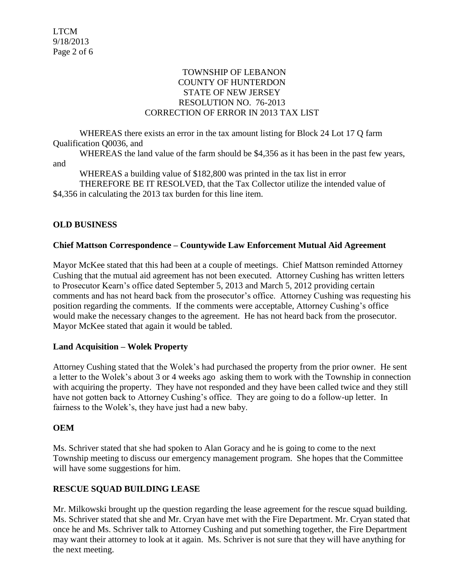## TOWNSHIP OF LEBANON COUNTY OF HUNTERDON STATE OF NEW JERSEY RESOLUTION NO. 76-2013 CORRECTION OF ERROR IN 2013 TAX LIST

WHEREAS there exists an error in the tax amount listing for Block 24 Lot 17 Q farm Qualification Q0036, and

WHEREAS the land value of the farm should be \$4,356 as it has been in the past few years, and

WHEREAS a building value of \$182,800 was printed in the tax list in error THEREFORE BE IT RESOLVED, that the Tax Collector utilize the intended value of \$4,356 in calculating the 2013 tax burden for this line item.

# **OLD BUSINESS**

# **Chief Mattson Correspondence – Countywide Law Enforcement Mutual Aid Agreement**

Mayor McKee stated that this had been at a couple of meetings. Chief Mattson reminded Attorney Cushing that the mutual aid agreement has not been executed. Attorney Cushing has written letters to Prosecutor Kearn's office dated September 5, 2013 and March 5, 2012 providing certain comments and has not heard back from the prosecutor's office. Attorney Cushing was requesting his position regarding the comments. If the comments were acceptable, Attorney Cushing's office would make the necessary changes to the agreement. He has not heard back from the prosecutor. Mayor McKee stated that again it would be tabled.

# **Land Acquisition – Wolek Property**

Attorney Cushing stated that the Wolek's had purchased the property from the prior owner. He sent a letter to the Wolek's about 3 or 4 weeks ago asking them to work with the Township in connection with acquiring the property. They have not responded and they have been called twice and they still have not gotten back to Attorney Cushing's office. They are going to do a follow-up letter. In fairness to the Wolek's, they have just had a new baby.

# **OEM**

Ms. Schriver stated that she had spoken to Alan Goracy and he is going to come to the next Township meeting to discuss our emergency management program. She hopes that the Committee will have some suggestions for him.

# **RESCUE SQUAD BUILDING LEASE**

Mr. Milkowski brought up the question regarding the lease agreement for the rescue squad building. Ms. Schriver stated that she and Mr. Cryan have met with the Fire Department. Mr. Cryan stated that once he and Ms. Schriver talk to Attorney Cushing and put something together, the Fire Department may want their attorney to look at it again. Ms. Schriver is not sure that they will have anything for the next meeting.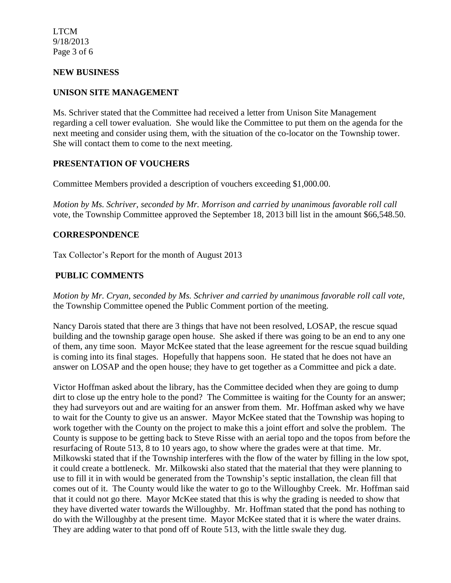LTCM 9/18/2013 Page 3 of 6

## **NEW BUSINESS**

#### **UNISON SITE MANAGEMENT**

Ms. Schriver stated that the Committee had received a letter from Unison Site Management regarding a cell tower evaluation. She would like the Committee to put them on the agenda for the next meeting and consider using them, with the situation of the co-locator on the Township tower. She will contact them to come to the next meeting.

## **PRESENTATION OF VOUCHERS**

Committee Members provided a description of vouchers exceeding \$1,000.00.

*Motion by Ms. Schriver, seconded by Mr. Morrison and carried by unanimous favorable roll call*  vote, the Township Committee approved the September 18, 2013 bill list in the amount \$66,548.50.

#### **CORRESPONDENCE**

Tax Collector's Report for the month of August 2013

## **PUBLIC COMMENTS**

*Motion by Mr. Cryan, seconded by Ms. Schriver and carried by unanimous favorable roll call vote*, the Township Committee opened the Public Comment portion of the meeting.

Nancy Darois stated that there are 3 things that have not been resolved, LOSAP, the rescue squad building and the township garage open house. She asked if there was going to be an end to any one of them, any time soon. Mayor McKee stated that the lease agreement for the rescue squad building is coming into its final stages. Hopefully that happens soon. He stated that he does not have an answer on LOSAP and the open house; they have to get together as a Committee and pick a date.

Victor Hoffman asked about the library, has the Committee decided when they are going to dump dirt to close up the entry hole to the pond? The Committee is waiting for the County for an answer; they had surveyors out and are waiting for an answer from them. Mr. Hoffman asked why we have to wait for the County to give us an answer. Mayor McKee stated that the Township was hoping to work together with the County on the project to make this a joint effort and solve the problem. The County is suppose to be getting back to Steve Risse with an aerial topo and the topos from before the resurfacing of Route 513, 8 to 10 years ago, to show where the grades were at that time. Mr. Milkowski stated that if the Township interferes with the flow of the water by filling in the low spot, it could create a bottleneck. Mr. Milkowski also stated that the material that they were planning to use to fill it in with would be generated from the Township's septic installation, the clean fill that comes out of it. The County would like the water to go to the Willoughby Creek. Mr. Hoffman said that it could not go there. Mayor McKee stated that this is why the grading is needed to show that they have diverted water towards the Willoughby. Mr. Hoffman stated that the pond has nothing to do with the Willoughby at the present time. Mayor McKee stated that it is where the water drains. They are adding water to that pond off of Route 513, with the little swale they dug.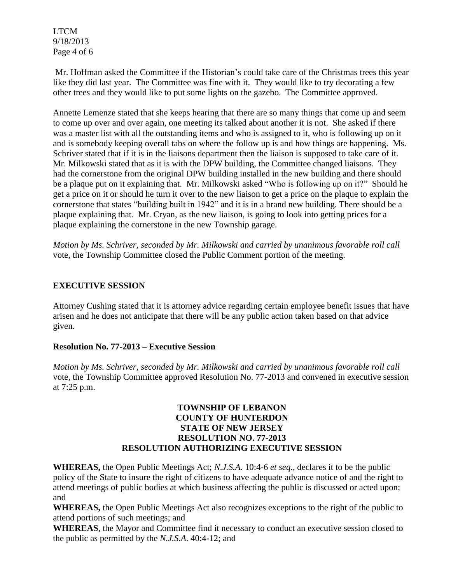LTCM 9/18/2013 Page 4 of 6

Mr. Hoffman asked the Committee if the Historian's could take care of the Christmas trees this year like they did last year. The Committee was fine with it. They would like to try decorating a few other trees and they would like to put some lights on the gazebo. The Committee approved.

Annette Lemenze stated that she keeps hearing that there are so many things that come up and seem to come up over and over again, one meeting its talked about another it is not. She asked if there was a master list with all the outstanding items and who is assigned to it, who is following up on it and is somebody keeping overall tabs on where the follow up is and how things are happening. Ms. Schriver stated that if it is in the liaisons department then the liaison is supposed to take care of it. Mr. Milkowski stated that as it is with the DPW building, the Committee changed liaisons. They had the cornerstone from the original DPW building installed in the new building and there should be a plaque put on it explaining that. Mr. Milkowski asked "Who is following up on it?" Should he get a price on it or should he turn it over to the new liaison to get a price on the plaque to explain the cornerstone that states "building built in 1942" and it is in a brand new building. There should be a plaque explaining that. Mr. Cryan, as the new liaison, is going to look into getting prices for a plaque explaining the cornerstone in the new Township garage.

*Motion by Ms. Schriver, seconded by Mr. Milkowski and carried by unanimous favorable roll call*  vote, the Township Committee closed the Public Comment portion of the meeting.

# **EXECUTIVE SESSION**

Attorney Cushing stated that it is attorney advice regarding certain employee benefit issues that have arisen and he does not anticipate that there will be any public action taken based on that advice given.

# **Resolution No. 77-2013 – Executive Session**

*Motion by Ms. Schriver, seconded by Mr. Milkowski and carried by unanimous favorable roll call*  vote, the Township Committee approved Resolution No. 77-2013 and convened in executive session at 7:25 p.m.

## **TOWNSHIP OF LEBANON COUNTY OF HUNTERDON STATE OF NEW JERSEY RESOLUTION NO. 77-2013 RESOLUTION AUTHORIZING EXECUTIVE SESSION**

**WHEREAS,** the Open Public Meetings Act; *N.J.S.A.* 10:4-6 *et seq*., declares it to be the public policy of the State to insure the right of citizens to have adequate advance notice of and the right to attend meetings of public bodies at which business affecting the public is discussed or acted upon; and

**WHEREAS,** the Open Public Meetings Act also recognizes exceptions to the right of the public to attend portions of such meetings; and

**WHEREAS**, the Mayor and Committee find it necessary to conduct an executive session closed to the public as permitted by the *N.J.S.A*. 40:4-12; and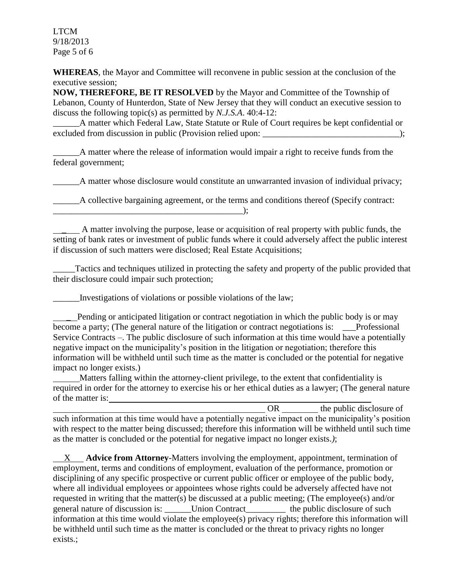LTCM 9/18/2013 Page 5 of 6

**WHEREAS**, the Mayor and Committee will reconvene in public session at the conclusion of the executive session;

**NOW, THEREFORE, BE IT RESOLVED** by the Mayor and Committee of the Township of Lebanon, County of Hunterdon, State of New Jersey that they will conduct an executive session to discuss the following topic(s) as permitted by *N.J.S.A*. 40:4-12:

A matter which Federal Law, State Statute or Rule of Court requires be kept confidential or excluded from discussion in public (Provision relied upon: \_\_\_\_\_\_\_\_\_\_\_\_\_\_\_\_\_\_\_\_\_\_\_\_\_\_\_\_\_\_\_);

A matter where the release of information would impair a right to receive funds from the federal government;

\_\_\_\_\_\_A matter whose disclosure would constitute an unwarranted invasion of individual privacy;

A collective bargaining agreement, or the terms and conditions thereof (Specify contract:

\_\_\_\_ A matter involving the purpose, lease or acquisition of real property with public funds, the setting of bank rates or investment of public funds where it could adversely affect the public interest if discussion of such matters were disclosed; Real Estate Acquisitions;

Tactics and techniques utilized in protecting the safety and property of the public provided that their disclosure could impair such protection;

\_\_\_\_\_\_Investigations of violations or possible violations of the law;

 $\qquad \qquad \text{):}$ 

Pending or anticipated litigation or contract negotiation in which the public body is or may become a party; (The general nature of the litigation or contract negotiations is: \_\_\_Professional Service Contracts –. The public disclosure of such information at this time would have a potentially negative impact on the municipality's position in the litigation or negotiation; therefore this information will be withheld until such time as the matter is concluded or the potential for negative impact no longer exists.)

 Matters falling within the attorney-client privilege, to the extent that confidentiality is required in order for the attorney to exercise his or her ethical duties as a lawyer; (The general nature of the matter is:

OR the public disclosure of such information at this time would have a potentially negative impact on the municipality's position with respect to the matter being discussed; therefore this information will be withheld until such time as the matter is concluded or the potential for negative impact no longer exists.*)*;

 X **Advice from Attorney**-Matters involving the employment, appointment, termination of employment, terms and conditions of employment, evaluation of the performance, promotion or disciplining of any specific prospective or current public officer or employee of the public body, where all individual employees or appointees whose rights could be adversely affected have not requested in writing that the matter(s) be discussed at a public meeting; (The employee(s) and/or general nature of discussion is: \_\_\_\_\_\_Union Contract\_\_\_\_\_\_\_\_\_ the public disclosure of such information at this time would violate the employee(s) privacy rights; therefore this information will be withheld until such time as the matter is concluded or the threat to privacy rights no longer exists.;